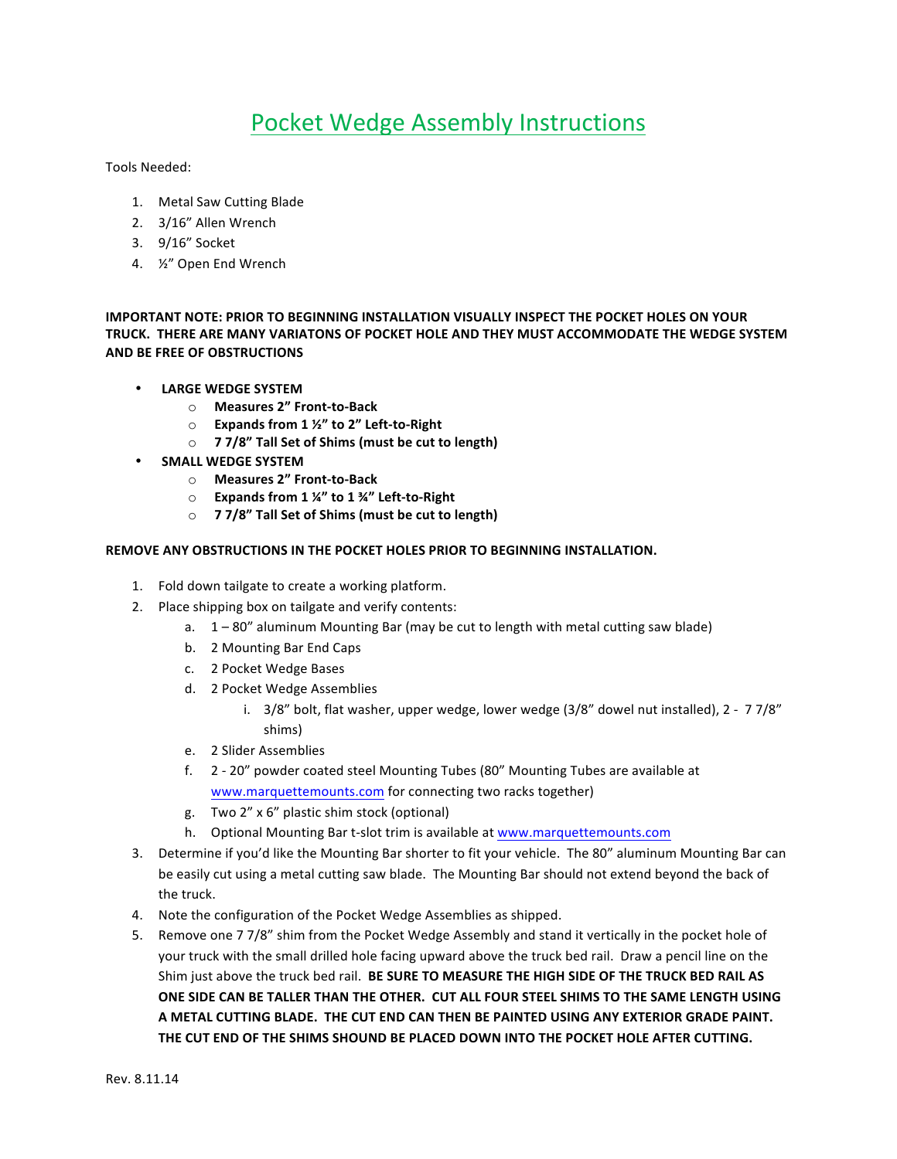## Pocket Wedge Assembly Instructions

Tools Needed:

- 1. Metal Saw Cutting Blade
- 2. 3/16" Allen Wrench
- 3. 9/16" Socket
- 4. <sup>12"</sup> Open End Wrench

**IMPORTANT NOTE: PRIOR TO BEGINNING INSTALLATION VISUALLY INSPECT THE POCKET HOLES ON YOUR** TRUCK. THERE ARE MANY VARIATONS OF POCKET HOLE AND THEY MUST ACCOMMODATE THE WEDGE SYSTEM **AND BE FREE OF OBSTRUCTIONS** 

- **LARGE WEDGE SYSTEM**
	- o **Measures 2" Front-to-Back**
	- o **Expands from 1 ½" to 2" Left-to-Right**
	- o **7 7/8" Tall Set of Shims (must be cut to length)**
- **SMALL WEDGE SYSTEM**
	- o **Measures 2" Front-to-Back**
	- o **Expands from 1 ¼" to 1 ¾" Left-to-Right**
	- o **77/8"** Tall Set of Shims (must be cut to length)

## **REMOVE ANY OBSTRUCTIONS IN THE POCKET HOLES PRIOR TO BEGINNING INSTALLATION.**

- 1. Fold down tailgate to create a working platform.
- 2. Place shipping box on tailgate and verify contents:
	- a.  $1 80$ " aluminum Mounting Bar (may be cut to length with metal cutting saw blade)
	- b. 2 Mounting Bar End Caps
	- c. 2 Pocket Wedge Bases
	- d. 2 Pocket Wedge Assemblies
		- i.  $3/8$ " bolt, flat washer, upper wedge, lower wedge  $(3/8$ " dowel nut installed), 2 7 $7/8$ " shims)
	- e. 2 Slider Assemblies
	- f. 2 20" powder coated steel Mounting Tubes (80" Mounting Tubes are available at www.marquettemounts.com for connecting two racks together)
	- g. Two 2" x 6" plastic shim stock (optional)
	- h. Optional Mounting Bar t-slot trim is available at www.marquettemounts.com
- 3. Determine if you'd like the Mounting Bar shorter to fit your vehicle. The 80" aluminum Mounting Bar can be easily cut using a metal cutting saw blade. The Mounting Bar should not extend beyond the back of the truck.
- 4. Note the configuration of the Pocket Wedge Assemblies as shipped.
- 5. Remove one 7 7/8" shim from the Pocket Wedge Assembly and stand it vertically in the pocket hole of your truck with the small drilled hole facing upward above the truck bed rail. Draw a pencil line on the Shim just above the truck bed rail. BE SURE TO MEASURE THE HIGH SIDE OF THE TRUCK BED RAIL AS ONE SIDE CAN BE TALLER THAN THE OTHER. CUT ALL FOUR STEEL SHIMS TO THE SAME LENGTH USING A METAL CUTTING BLADE. THE CUT END CAN THEN BE PAINTED USING ANY EXTERIOR GRADE PAINT. THE CUT END OF THE SHIMS SHOUND BE PLACED DOWN INTO THE POCKET HOLE AFTER CUTTING.